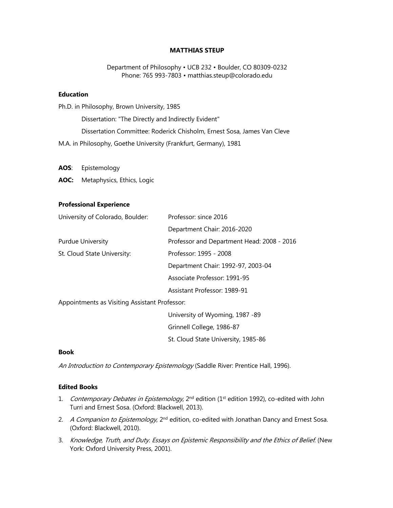#### **MATTHIAS STEUP**

Department of Philosophy • UCB 232 • Boulder, CO 80309-0232 Phone: 765 993-7803 • matthias.steup@colorado.edu

#### **Education**

Ph.D. in Philosophy, Brown University, 1985 Dissertation: "The Directly and Indirectly Evident" Dissertation Committee: Roderick Chisholm, Ernest Sosa, James Van Cleve M.A. in Philosophy, Goethe University (Frankfurt, Germany), 1981

**AOS**: Epistemology

**AOC:** Metaphysics, Ethics, Logic

### **Professional Experience**

| University of Colorado, Boulder: | Professor: since 2016                      |
|----------------------------------|--------------------------------------------|
|                                  | Department Chair: 2016-2020                |
| <b>Purdue University</b>         | Professor and Department Head: 2008 - 2016 |
| St. Cloud State University:      | Professor: 1995 - 2008                     |
|                                  | Department Chair: 1992-97, 2003-04         |
|                                  | Associate Professor: 1991-95               |
|                                  | Assistant Professor: 1989-91               |

Appointments as Visiting Assistant Professor:

University of Wyoming, 1987 -89 Grinnell College, 1986-87 St. Cloud State University, 1985-86

#### **Book**

An Introduction to Contemporary Epistemology (Saddle River: Prentice Hall, 1996).

### **Edited Books**

- 1. Contemporary Debates in Epistemology, 2<sup>nd</sup> edition (1<sup>st</sup> edition 1992), co-edited with John Turri and Ernest Sosa. (Oxford: Blackwell, 2013).
- 2. A Companion to Epistemology, 2<sup>nd</sup> edition, co-edited with Jonathan Dancy and Ernest Sosa. (Oxford: Blackwell, 2010).
- 3. Knowledge, Truth, and Duty. Essays on Epistemic Responsibility and the Ethics of Belief. (New York: Oxford University Press, 2001).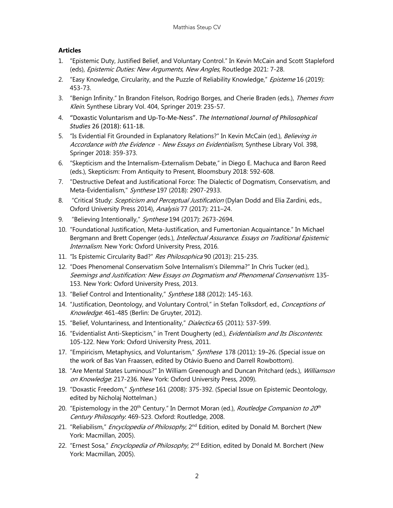# **Articles**

- 1. "Epistemic Duty, Justified Belief, and Voluntary Control." In Kevin McCain and Scott Stapleford (eds), Epistemic Duties: New Arguments, New Angles, Routledge 2021: 7-28.
- 2. "Easy Knowledge, Circularity, and the Puzzle of Reliability Knowledge," *Episteme* 16 (2019): 453-73.
- 3. "Benign Infinity." In Brandon Fitelson, Rodrigo Borges, and Cherie Braden (eds.), Themes from Klein. Synthese Library Vol. 404, Springer 2019: 235-57.
- 4. "Doxastic Voluntarism and Up-To-Me-Ness". *The International Journal of Philosophical Studies* 26 (2018): 611-18.
- 5. "Is Evidential Fit Grounded in Explanatory Relations?" In Kevin McCain (ed.), Believing in Accordance with the Evidence - New Essays on Evidentialism, Synthese Library Vol. 398, Springer 2018: 359-373.
- 6. "Skepticism and the Internalism-Externalism Debate," in Diego E. Machuca and Baron Reed (eds.), Skepticism: From Antiquity to Present, Bloomsbury 2018: 592-608.
- 7. "Destructive Defeat and Justificational Force: The Dialectic of Dogmatism, Conservatism, and Meta-Evidentialism," Synthese 197 (2018): 2907-2933.
- 8. "Critical Study: Scepticism and Perceptual Justification (Dylan Dodd and Elia Zardini, eds., Oxford University Press 2014), Analysis 77 (2017): 211–24.
- 9. "Believing Intentionally," Synthese 194 (2017): 2673-2694.
- 10. "Foundational Justification, Meta-Justification, and Fumertonian Acquaintance." In Michael Bergmann and Brett Copenger (eds.), Intellectual Assurance. Essays on Traditional Epistemic Internalism. New York: Oxford University Press, 2016.
- 11. "Is Epistemic Circularity Bad?" Res Philosophica 90 (2013): 215-235.
- 12. "Does Phenomenal Conservatism Solve Internalism's Dilemma?" In Chris Tucker (ed.), Seemings and Justification: New Essays on Dogmatism and Phenomenal Conservatism: 135- 153. New York: Oxford University Press, 2013.
- 13. "Belief Control and Intentionality," Synthese 188 (2012): 145-163.
- 14. "Justification, Deontology, and Voluntary Control," in Stefan Tolksdorf, ed., Conceptions of Knowledge: 461-485 (Berlin: De Gruyter, 2012).
- 15. "Belief, Voluntariness, and Intentionality," Dialectica 65 (2011): 537-599.
- 16. "Evidentialist Anti-Skepticism," in Trent Dougherty (ed.), Evidentialism and Its Discontents. 105-122. New York: Oxford University Press, 2011.
- 17. "Empiricism, Metaphysics, and Voluntarism," Synthese 178 (2011): 19-26. (Special issue on the work of Bas Van Fraassen, edited by Otávio Bueno and Darrell Rowbottom).
- 18. "Are Mental States Luminous?" In William Greenough and Duncan Pritchard (eds.), Williamson on Knowledge: 217-236. New York: Oxford University Press, 2009).
- 19. "Doxastic Freedom," Synthese 161 (2008): 375-392. (Special Issue on Epistemic Deontology, edited by Nicholaj Nottelman.)
- 20. "Epistemology in the 20<sup>th</sup> Century." In Dermot Moran (ed.), *Routledge Companion to 20<sup>th</sup>* Century Philosophy: 469-523. Oxford: Routledge, 2008.
- 21. "Reliabilism," *Encyclopedia of Philosophy*, 2<sup>nd</sup> Edition, edited by Donald M. Borchert (New York: Macmillan, 2005).
- 22. "Ernest Sosa," *Encyclopedia of Philosophy*, 2<sup>nd</sup> Edition, edited by Donald M. Borchert (New York: Macmillan, 2005).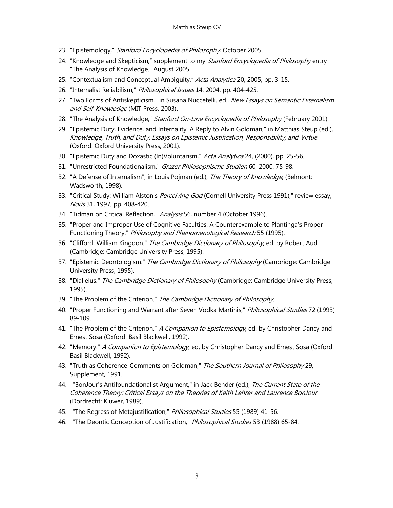- 23. "Epistemology," Stanford Encyclopedia of Philosophy, October 2005.
- 24. "Knowledge and Skepticism," supplement to my Stanford Encyclopedia of Philosophy entry "The Analysis of Knowledge." August 2005.
- 25. "Contextualism and Conceptual Ambiguity," Acta Analytica 20, 2005, pp. 3-15.
- 26. "Internalist Reliabilism," Philosophical Issues 14, 2004, pp. 404-425.
- 27. "Two Forms of Antiskepticism," in Susana Nuccetelli, ed., New Essays on Semantic Externalism and Self-Knowledge (MIT Press, 2003).
- 28. "The Analysis of Knowledge," Stanford On-Line Encyclopedia of Philosophy (February 2001).
- 29. "Epistemic Duty, Evidence, and Internality. A Reply to Alvin Goldman," in Matthias Steup (ed.), Knowledge, Truth, and Duty. Essays on Epistemic Justification, Responsibility, and Virtue (Oxford: Oxford University Press, 2001).
- 30. "Epistemic Duty and Doxastic (In)Voluntarism," Acta Analytica 24, (2000), pp. 25-56.
- 31. "Unrestricted Foundationalism," Grazer Philosophische Studien 60, 2000, 75-98.
- 32. "A Defense of Internalism", in Louis Pojman (ed.), The Theory of Knowledge, (Belmont: Wadsworth, 1998).
- 33. "Critical Study: William Alston's Perceiving God (Cornell University Press 1991)," review essay, Noûs 31, 1997, pp. 408-420.
- 34. "Tidman on Critical Reflection," Analysis 56, number 4 (October 1996).
- 35. "Proper and Improper Use of Cognitive Faculties: A Counterexample to Plantinga's Proper Functioning Theory," Philosophy and Phenomenological Research 55 (1995).
- 36. "Clifford, William Kingdon." The Cambridge Dictionary of Philosophy, ed. by Robert Audi (Cambridge: Cambridge University Press, 1995).
- 37. "Epistemic Deontologism." The Cambridge Dictionary of Philosophy (Cambridge: Cambridge University Press, 1995).
- 38. "Diallelus." The Cambridge Dictionary of Philosophy (Cambridge: Cambridge University Press, 1995).
- 39. "The Problem of the Criterion." The Cambridge Dictionary of Philosophy.
- 40. "Proper Functioning and Warrant after Seven Vodka Martinis," Philosophical Studies 72 (1993) 89-109.
- 41. "The Problem of the Criterion." A Companion to Epistemology, ed. by Christopher Dancy and Ernest Sosa (Oxford: Basil Blackwell, 1992).
- 42. "Memory." *A Companion to Epistemology*, ed. by Christopher Dancy and Ernest Sosa (Oxford: Basil Blackwell, 1992).
- 43. "Truth as Coherence-Comments on Goldman," The Southern Journal of Philosophy 29, Supplement, 1991.
- 44. "BonJour's Antifoundationalist Argument," in Jack Bender (ed.), The Current State of the Coherence Theory: Critical Essays on the Theories of Keith Lehrer and Laurence BonJour (Dordrecht: Kluwer, 1989).
- 45. "The Regress of Metajustification," Philosophical Studies 55 (1989) 41-56.
- 46. "The Deontic Conception of Justification," Philosophical Studies 53 (1988) 65-84.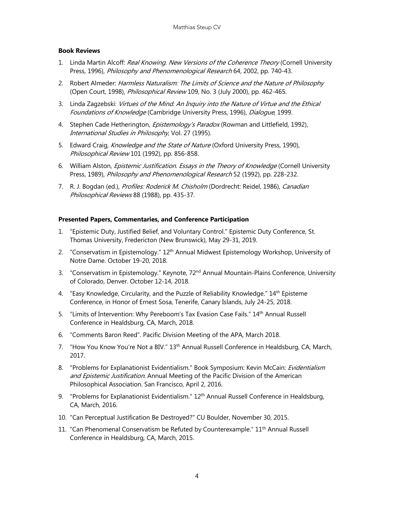## **Book Reviews**

- 1. Linda Martin Alcoff: Real Knowing. New Versions of the Coherence Theory (Cornell University Press, 1996), Philosophy and Phenomenological Research 64, 2002, pp. 740-43.
- 2. Robert Almeder: Harmless Naturalism: The Limits of Science and the Nature of Philosophy (Open Court, 1998), Philosophical Review 109, No. 3 (July 2000), pp. 462-465.
- 3. Linda Zagzebski: Virtues of the Mind. An Inquiry into the Nature of Virtue and the Ethical Foundations of Knowledge (Cambridge University Press, 1996), Dialogue, 1999.
- 4. Stephen Cade Hetherington, *Epistemology's Paradox* (Rowman and Littlefield, 1992), International Studies in Philosophy, Vol. 27 (1995).
- 5. Edward Craig, Knowledge and the State of Nature (Oxford University Press, 1990), Philosophical Review 101 (1992), pp. 856-858.
- 6. William Alston, *Epistemic Justification. Essays in the Theory of Knowledge* (Cornell University Press, 1989), *Philosophy and Phenomenological Research* 52 (1992), pp. 228-232.
- 7. R. J. Bogdan (ed.), Profiles: Roderick M. Chisholm (Dordrecht: Reidel, 1986), Canadian Philosophical Reviews 88 (1988), pp. 435-37.

### **Presented Papers, Commentaries, and Conference Participation**

- 1. "Epistemic Duty, Justified Belief, and Voluntary Control." Epistemic Duty Conference, St. Thomas University, Fredericton (New Brunswick), May 29-31, 2019.
- 2. "Conservatism in Epistemology." 12<sup>th</sup> Annual Midwest Epistemology Workshop, University of Notre Dame. October 19-20, 2018.
- 3. "Conservatism in Epistemology." Keynote, 72<sup>nd</sup> Annual Mountain-Plains Conference, University of Colorado, Denver. October 12-14, 2018.
- 4. "Easy Knowledge, Circularity, and the Puzzle of Reliability Knowledge." 14<sup>th</sup> Episteme Conference, in Honor of Ernest Sosa, Tenerife, Canary Islands, July 24-25, 2018.
- 5. "Limits of Intervention: Why Pereboom's Tax Evasion Case Fails." 14<sup>th</sup> Annual Russell Conference in Healdsburg, CA, March, 2018.
- 6. "Comments Baron Reed". Pacific Division Meeting of the APA, March 2018.
- 7. "How You Know You're Not a BIV." 13th Annual Russell Conference in Healdsburg, CA, March, 2017.
- 8. "Problems for Explanationist Evidentialism." Book Symposium: Kevin McCain: Evidentialism and Epistemic Justification. Annual Meeting of the Pacific Division of the American Philosophical Association. San Francisco, April 2, 2016.
- 9. "Problems for Explanationist Evidentialism." 12<sup>th</sup> Annual Russell Conference in Healdsburg, CA, March, 2016.
- 10. "Can Perceptual Justification Be Destroyed?" CU Boulder, November 30, 2015.
- 11. "Can Phenomenal Conservatism be Refuted by Counterexample." 11<sup>th</sup> Annual Russell Conference in Healdsburg, CA, March, 2015.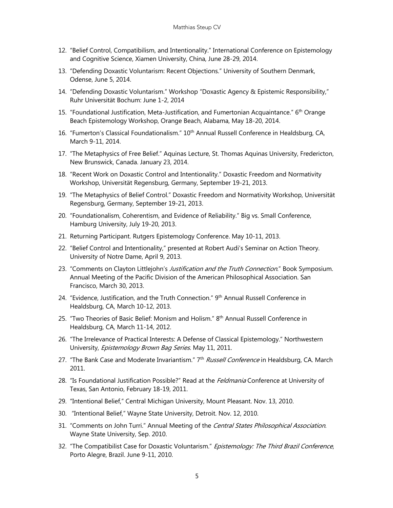- 12. "Belief Control, Compatibilism, and Intentionality." International Conference on Epistemology and Cognitive Science, Xiamen University, China, June 28-29, 2014.
- 13. "Defending Doxastic Voluntarism: Recent Objections." University of Southern Denmark, Odense, June 5, 2014.
- 14. "Defending Doxastic Voluntarism." Workshop "Doxastic Agency & Epistemic Responsibility," Ruhr Universität Bochum: June 1-2, 2014
- 15. "Foundational Justification, Meta-Justification, and Fumertonian Acquaintance." 6<sup>th</sup> Orange Beach Epistemology Workshop, Orange Beach, Alabama, May 18-20, 2014.
- 16. "Fumerton's Classical Foundationalism." 10<sup>th</sup> Annual Russell Conference in Healdsburg, CA, March 9-11, 2014.
- 17. "The Metaphysics of Free Belief." Aquinas Lecture, St. Thomas Aquinas University, Fredericton, New Brunswick, Canada. January 23, 2014.
- 18. "Recent Work on Doxastic Control and Intentionality." Doxastic Freedom and Normativity Workshop, Universität Regensburg, Germany, September 19-21, 2013.
- 19. "The Metaphysics of Belief Control." Doxastic Freedom and Normativity Workshop, Universität Regensburg, Germany, September 19-21, 2013.
- 20. "Foundationalism, Coherentism, and Evidence of Reliability." Big vs. Small Conference, Hamburg University, July 19-20, 2013.
- 21. Returning Participant. Rutgers Epistemology Conference. May 10-11, 2013.
- 22. "Belief Control and Intentionality," presented at Robert Audi's Seminar on Action Theory. University of Notre Dame, April 9, 2013.
- 23. "Comments on Clayton Littlejohn's Justification and the Truth Connection." Book Symposium. Annual Meeting of the Pacific Division of the American Philosophical Association. San Francisco, March 30, 2013.
- 24. "Evidence, Justification, and the Truth Connection." 9<sup>th</sup> Annual Russell Conference in Healdsburg, CA, March 10-12, 2013.
- 25. "Two Theories of Basic Belief: Monism and Holism." 8<sup>th</sup> Annual Russell Conference in Healdsburg, CA, March 11-14, 2012.
- 26. "The Irrelevance of Practical Interests: A Defense of Classical Epistemology." Northwestern University, Epistemology Brown Bag Series. May 11, 2011.
- 27. "The Bank Case and Moderate Invariantism." 7<sup>th</sup> Russell Conference in Healdsburg, CA. March 2011.
- 28. "Is Foundational Justification Possible?" Read at the *Feldmania* Conference at University of Texas, San Antonio, February 18-19, 2011.
- 29. "Intentional Belief," Central Michigan University, Mount Pleasant. Nov. 13, 2010.
- 30. "Intentional Belief," Wayne State University, Detroit. Nov. 12, 2010.
- 31. "Comments on John Turri." Annual Meeting of the Central States Philosophical Association. Wayne State University, Sep. 2010.
- 32. "The Compatibilist Case for Doxastic Voluntarism." Epistemology: The Third Brazil Conference, Porto Alegre, Brazil. June 9-11, 2010.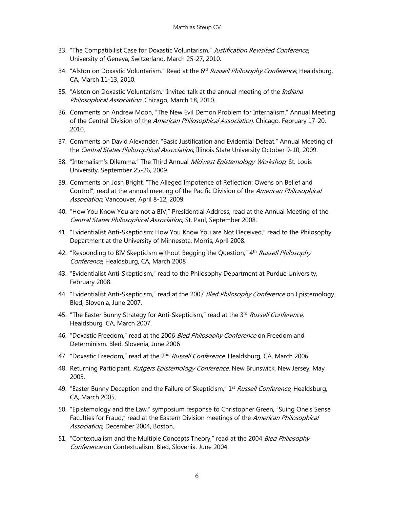- 33. "The Compatibilist Case for Doxastic Voluntarism." Justification Revisited Conference, University of Geneva, Switzerland. March 25-27, 2010.
- 34. "Alston on Doxastic Voluntarism." Read at the 6<sup>rd</sup> Russell Philosophy Conference, Healdsburg, CA, March 11-13, 2010.
- 35. "Alston on Doxastic Voluntarism." Invited talk at the annual meeting of the Indiana Philosophical Association. Chicago, March 18, 2010.
- 36. Comments on Andrew Moon, "The New Evil Demon Problem for Internalism." Annual Meeting of the Central Division of the American Philosophical Association. Chicago, February 17-20, 2010.
- 37. Comments on David Alexander, "Basic Justification and Evidential Defeat." Annual Meeting of the Central States Philosophical Association, Illinois State University October 9-10, 2009.
- 38. "Internalism's Dilemma." The Third Annual Midwest Epistemology Workshop, St. Louis University, September 25-26, 2009.
- 39. Comments on Josh Bright, "The Alleged Impotence of Reflection: Owens on Belief and Control", read at the annual meeting of the Pacific Division of the American Philosophical Association, Vancouver, April 8-12, 2009.
- 40. "How You Know You are not a BIV," Presidential Address, read at the Annual Meeting of the Central States Philosophical Association, St. Paul, September 2008.
- 41. "Evidentialist Anti-Skepticism: How You Know You are Not Deceived," read to the Philosophy Department at the University of Minnesota, Morris, April 2008.
- 42. "Responding to BIV Skepticism without Begging the Question," 4<sup>th</sup> Russell Philosophy Conference, Healdsburg, CA, March 2008
- 43. "Evidentialist Anti-Skepticism," read to the Philosophy Department at Purdue University, February 2008.
- 44. "Evidentialist Anti-Skepticism," read at the 2007 Bled Philosophy Conference on Epistemology. Bled, Slovenia, June 2007.
- 45. "The Easter Bunny Strategy for Anti-Skepticism," read at the 3<sup>rd</sup> Russell Conference, Healdsburg, CA, March 2007.
- 46. "Doxastic Freedom," read at the 2006 Bled Philosophy Conference on Freedom and Determinism. Bled, Slovenia, June 2006
- 47. "Doxastic Freedom," read at the 2<sup>nd</sup> Russell Conference, Healdsburg, CA, March 2006.
- 48. Returning Participant, Rutgers Epistemology Conference. New Brunswick, New Jersey, May 2005.
- 49. "Easter Bunny Deception and the Failure of Skepticism," 1<sup>st</sup> Russell Conference, Healdsburg, CA, March 2005.
- 50. "Epistemology and the Law," symposium response to Christopher Green, "Suing One's Sense Faculties for Fraud," read at the Eastern Division meetings of the American Philosophical Association, December 2004, Boston.
- 51. "Contextualism and the Multiple Concepts Theory," read at the 2004 Bled Philosophy Conference on Contextualism. Bled, Slovenia, June 2004.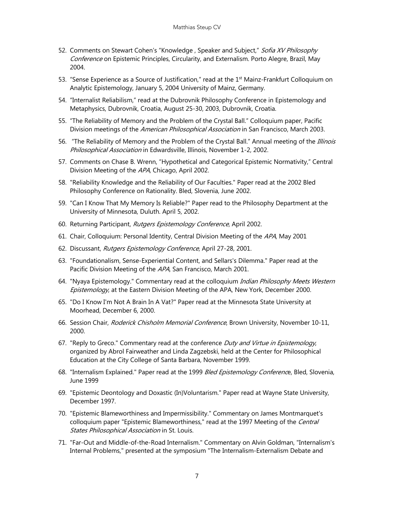- 52. Comments on Stewart Cohen's "Knowledge, Speaker and Subject," Sofia XV Philosophy Conference on Epistemic Principles, Circularity, and Externalism. Porto Alegre, Brazil, May 2004.
- 53. "Sense Experience as a Source of Justification," read at the 1<sup>st</sup> Mainz-Frankfurt Colloquium on Analytic Epistemology, January 5, 2004 University of Mainz, Germany.
- 54. "Internalist Reliabilism," read at the Dubrovnik Philosophy Conference in Epistemology and Metaphysics, Dubrovnik, Croatia, August 25-30, 2003, Dubrovnik, Croatia.
- 55. "The Reliability of Memory and the Problem of the Crystal Ball." Colloquium paper, Pacific Division meetings of the American Philosophical Association in San Francisco, March 2003.
- 56. "The Reliability of Memory and the Problem of the Crystal Ball." Annual meeting of the Illinois Philosophical Association in Edwardsville, Illinois, November 1-2, 2002.
- 57. Comments on Chase B. Wrenn, "Hypothetical and Categorical Epistemic Normativity," Central Division Meeting of the APA, Chicago, April 2002.
- 58. "Reliability Knowledge and the Reliability of Our Faculties." Paper read at the 2002 Bled Philosophy Conference on Rationality. Bled, Slovenia, June 2002.
- 59. "Can I Know That My Memory Is Reliable?" Paper read to the Philosophy Department at the University of Minnesota, Duluth. April 5, 2002.
- 60. Returning Participant, Rutgers Epistemology Conference, April 2002.
- 61. Chair, Colloquium: Personal Identity, Central Division Meeting of the APA, May 2001
- 62. Discussant, Rutgers Epistemology Conference, April 27-28, 2001.
- 63. "Foundationalism, Sense-Experiential Content, and Sellars's Dilemma." Paper read at the Pacific Division Meeting of the APA, San Francisco, March 2001.
- 64. "Nyaya Epistemology." Commentary read at the colloquium *Indian Philosophy Meets Western* Epistemology, at the Eastern Division Meeting of the APA, New York, December 2000.
- 65. "Do I Know I'm Not A Brain In A Vat?" Paper read at the Minnesota State University at Moorhead, December 6, 2000.
- 66. Session Chair, Roderick Chisholm Memorial Conference, Brown University, November 10-11, 2000.
- 67. "Reply to Greco." Commentary read at the conference Duty and Virtue in Epistemology, organized by Abrol Fairweather and Linda Zagzebski, held at the Center for Philosophical Education at the City College of Santa Barbara, November 1999.
- 68. "Internalism Explained." Paper read at the 1999 Bled Epistemology Conference, Bled, Slovenia, June 1999
- 69. "Epistemic Deontology and Doxastic (In)Voluntarism." Paper read at Wayne State University, December 1997.
- 70. "Epistemic Blameworthiness and Impermissibility." Commentary on James Montmarquet's colloquium paper "Epistemic Blameworthiness," read at the 1997 Meeting of the Central States Philosophical Association in St. Louis.
- 71. "Far-Out and Middle-of-the-Road Internalism." Commentary on Alvin Goldman, "Internalism's Internal Problems," presented at the symposium "The Internalism-Externalism Debate and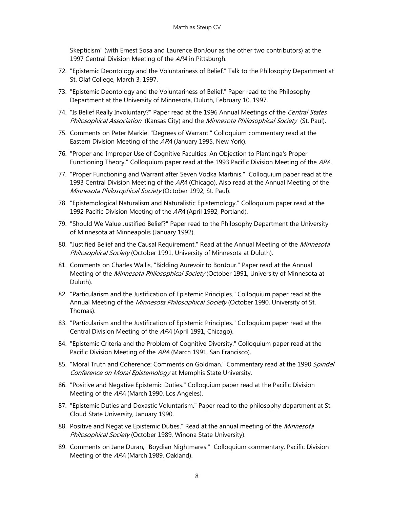Skepticism" (with Ernest Sosa and Laurence BonJour as the other two contributors) at the 1997 Central Division Meeting of the APA in Pittsburgh.

- 72. "Epistemic Deontology and the Voluntariness of Belief." Talk to the Philosophy Department at St. Olaf College, March 3, 1997.
- 73. "Epistemic Deontology and the Voluntariness of Belief." Paper read to the Philosophy Department at the University of Minnesota, Duluth, February 10, 1997.
- 74. "Is Belief Really Involuntary?" Paper read at the 1996 Annual Meetings of the Central States Philosophical Association (Kansas City) and the Minnesota Philosophical Society (St. Paul).
- 75. Comments on Peter Markie: "Degrees of Warrant." Colloquium commentary read at the Eastern Division Meeting of the APA (January 1995, New York).
- 76. "Proper and Improper Use of Cognitive Faculties: An Objection to Plantinga's Proper Functioning Theory." Colloquium paper read at the 1993 Pacific Division Meeting of the APA.
- 77. "Proper Functioning and Warrant after Seven Vodka Martinis." Colloquium paper read at the 1993 Central Division Meeting of the APA (Chicago). Also read at the Annual Meeting of the Minnesota Philosophical Society (October 1992, St. Paul).
- 78. "Epistemological Naturalism and Naturalistic Epistemology." Colloquium paper read at the 1992 Pacific Division Meeting of the APA (April 1992, Portland).
- 79. "Should We Value Justified Belief?" Paper read to the Philosophy Department the University of Minnesota at Minneapolis (January 1992).
- 80. "Justified Belief and the Causal Requirement." Read at the Annual Meeting of the Minnesota Philosophical Society (October 1991, University of Minnesota at Duluth).
- 81. Comments on Charles Wallis, "Bidding Aurevoir to BonJour." Paper read at the Annual Meeting of the Minnesota Philosophical Society (October 1991, University of Minnesota at Duluth).
- 82. "Particularism and the Justification of Epistemic Principles." Colloquium paper read at the Annual Meeting of the Minnesota Philosophical Society (October 1990, University of St. Thomas).
- 83. "Particularism and the Justification of Epistemic Principles." Colloquium paper read at the Central Division Meeting of the APA (April 1991, Chicago).
- 84. "Epistemic Criteria and the Problem of Cognitive Diversity." Colloquium paper read at the Pacific Division Meeting of the APA (March 1991, San Francisco).
- 85. "Moral Truth and Coherence: Comments on Goldman." Commentary read at the 1990 Spindel Conference on Moral Epistemology at Memphis State University.
- 86. "Positive and Negative Epistemic Duties." Colloquium paper read at the Pacific Division Meeting of the APA (March 1990, Los Angeles).
- 87. "Epistemic Duties and Doxastic Voluntarism." Paper read to the philosophy department at St. Cloud State University, January 1990.
- 88. Positive and Negative Epistemic Duties." Read at the annual meeting of the Minnesota Philosophical Society (October 1989, Winona State University).
- 89. Comments on Jane Duran, "Boydian Nightmares." Colloquium commentary, Pacific Division Meeting of the APA (March 1989, Oakland).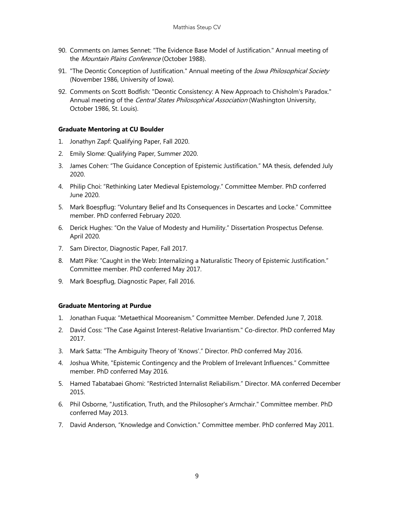- 90. Comments on James Sennet: "The Evidence Base Model of Justification." Annual meeting of the Mountain Plains Conference (October 1988).
- 91. "The Deontic Conception of Justification." Annual meeting of the *Iowa Philosophical Society* (November 1986, University of Iowa).
- 92. Comments on Scott Bodfish: "Deontic Consistency: A New Approach to Chisholm's Paradox." Annual meeting of the *Central States Philosophical Association* (Washington University, October 1986, St. Louis).

## **Graduate Mentoring at CU Boulder**

- 1. Jonathyn Zapf: Qualifying Paper, Fall 2020.
- 2. Emily Slome: Qualifying Paper, Summer 2020.
- 3. James Cohen: "The Guidance Conception of Epistemic Justification." MA thesis, defended July 2020.
- 4. Philip Choi: "Rethinking Later Medieval Epistemology." Committee Member. PhD conferred June 2020.
- 5. Mark Boespflug: "Voluntary Belief and Its Consequences in Descartes and Locke." Committee member. PhD conferred February 2020.
- 6. Derick Hughes: "On the Value of Modesty and Humility." Dissertation Prospectus Defense. April 2020.
- 7. Sam Director, Diagnostic Paper, Fall 2017.
- 8. Matt Pike: "Caught in the Web: Internalizing a Naturalistic Theory of Epistemic Justification." Committee member. PhD conferred May 2017.
- 9. Mark Boespflug, Diagnostic Paper, Fall 2016.

## **Graduate Mentoring at Purdue**

- 1. Jonathan Fuqua: "Metaethical Mooreanism." Committee Member. Defended June 7, 2018.
- 2. David Coss: "The Case Against Interest-Relative Invariantism." Co-director. PhD conferred May 2017.
- 3. Mark Satta: "The Ambiguity Theory of 'Knows'." Director. PhD conferred May 2016.
- 4. Joshua White, "Epistemic Contingency and the Problem of Irrelevant Influences." Committee member. PhD conferred May 2016.
- 5. Hamed Tabatabaei Ghomi: "Restricted Internalist Reliabilism." Director. MA conferred December 2015.
- 6. Phil Osborne, "Justification, Truth, and the Philosopher's Armchair." Committee member. PhD conferred May 2013.
- 7. David Anderson, "Knowledge and Conviction." Committee member. PhD conferred May 2011.